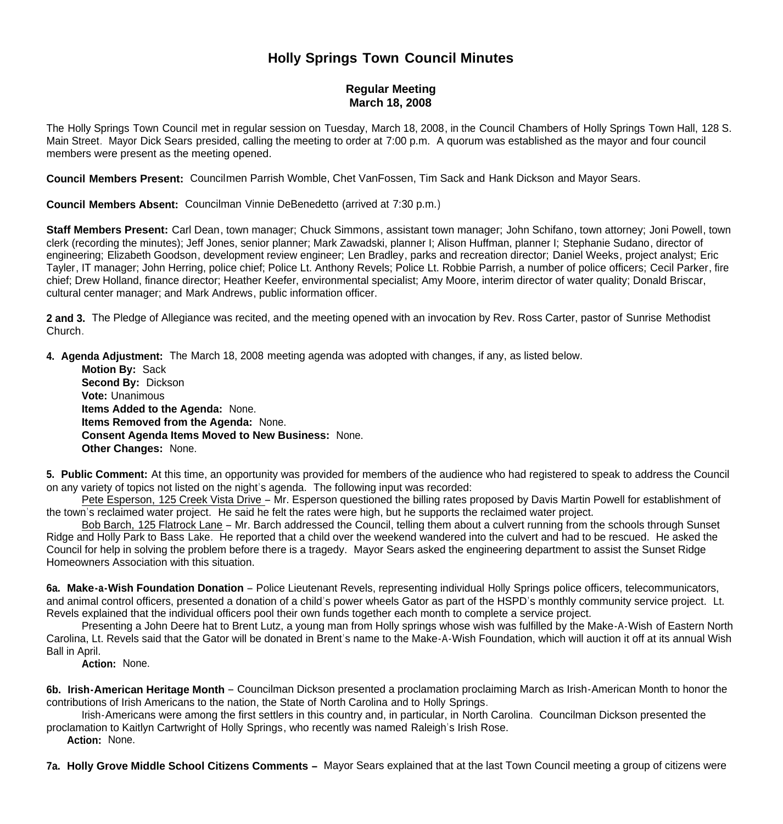## **Holly Springs Town Council Minutes**

## **Regular Meeting March 18, 2008**

The Holly Springs Town Council met in regular session on Tuesday, March 18, 2008, in the Council Chambers of Holly Springs Town Hall, 128 S. Main Street. Mayor Dick Sears presided, calling the meeting to order at 7:00 p.m. A quorum was established as the mayor and four council members were present as the meeting opened.

**Council Members Present:** Councilmen Parrish Womble, Chet VanFossen, Tim Sack and Hank Dickson and Mayor Sears.

**Council Members Absent:** Councilman Vinnie DeBenedetto (arrived at 7:30 p.m.)

**Staff Members Present:** Carl Dean, town manager; Chuck Simmons, assistant town manager; John Schifano, town attorney; Joni Powell, town clerk (recording the minutes); Jeff Jones, senior planner; Mark Zawadski, planner I; Alison Huffman, planner I; Stephanie Sudano, director of engineering; Elizabeth Goodson, development review engineer; Len Bradley, parks and recreation director; Daniel Weeks, project analyst; Eric Tayler, IT manager; John Herring, police chief; Police Lt. Anthony Revels; Police Lt. Robbie Parrish, a number of police officers; Cecil Parker, fire chief; Drew Holland, finance director; Heather Keefer, environmental specialist; Amy Moore, interim director of water quality; Donald Briscar, cultural center manager; and Mark Andrews, public information officer.

**2 and 3.** The Pledge of Allegiance was recited, and the meeting opened with an invocation by Rev. Ross Carter, pastor of Sunrise Methodist Church.

**4. Agenda Adjustment:** The March 18, 2008 meeting agenda was adopted with changes, if any, as listed below.

 **Motion By:** Sack **Second By:** Dickson **Vote:** Unanimous  **Items Added to the Agenda:** None. **Items Removed from the Agenda:** None. **Consent Agenda Items Moved to New Business:** None. **Other Changes:** None.

**5. Public Comment:** At this time, an opportunity was provided for members of the audience who had registered to speak to address the Council on any variety of topics not listed on the night's agenda. The following input was recorded:

 Pete Esperson, 125 Creek Vista Drive – Mr. Esperson questioned the billing rates proposed by Davis Martin Powell for establishment of the town's reclaimed water project. He said he felt the rates were high, but he supports the reclaimed water project.

 Bob Barch, 125 Flatrock Lane – Mr. Barch addressed the Council, telling them about a culvert running from the schools through Sunset Ridge and Holly Park to Bass Lake. He reported that a child over the weekend wandered into the culvert and had to be rescued. He asked the Council for help in solving the problem before there is a tragedy. Mayor Sears asked the engineering department to assist the Sunset Ridge Homeowners Association with this situation.

**6a. Make-a-Wish Foundation Donation** – Police Lieutenant Revels, representing individual Holly Springs police officers, telecommunicators, and animal control officers, presented a donation of a child's power wheels Gator as part of the HSPD's monthly community service project. Lt. Revels explained that the individual officers pool their own funds together each month to complete a service project.

 Presenting a John Deere hat to Brent Lutz, a young man from Holly springs whose wish was fulfilled by the Make-A-Wish of Eastern North Carolina, Lt. Revels said that the Gator will be donated in Brent's name to the Make-A-Wish Foundation, which will auction it off at its annual Wish Ball in April.

**Action:** None.

**6b. Irish-American Heritage Month** – Councilman Dickson presented a proclamation proclaiming March as Irish-American Month to honor the contributions of Irish Americans to the nation, the State of North Carolina and to Holly Springs.

 Irish-Americans were among the first settlers in this country and, in particular, in North Carolina. Councilman Dickson presented the proclamation to Kaitlyn Cartwright of Holly Springs, who recently was named Raleigh's Irish Rose.

**Action:** None.

**7a. Holly Grove Middle School Citizens Comments –** Mayor Sears explained that at the last Town Council meeting a group of citizens were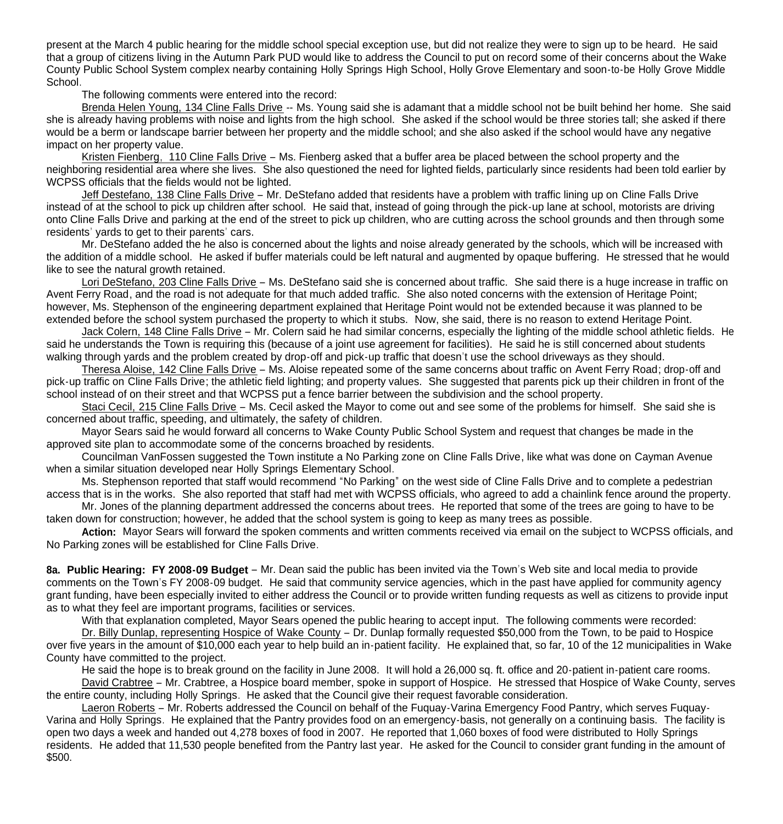present at the March 4 public hearing for the middle school special exception use, but did not realize they were to sign up to be heard. He said that a group of citizens living in the Autumn Park PUD would like to address the Council to put on record some of their concerns about the Wake County Public School System complex nearby containing Holly Springs High School, Holly Grove Elementary and soon-to-be Holly Grove Middle School.

The following comments were entered into the record:

 Brenda Helen Young, 134 Cline Falls Drive -- Ms. Young said she is adamant that a middle school not be built behind her home. She said she is already having problems with noise and lights from the high school. She asked if the school would be three stories tall; she asked if there would be a berm or landscape barrier between her property and the middle school; and she also asked if the school would have any negative impact on her property value.

 Kristen Fienberg, 110 Cline Falls Drive – Ms. Fienberg asked that a buffer area be placed between the school property and the neighboring residential area where she lives. She also questioned the need for lighted fields, particularly since residents had been told earlier by WCPSS officials that the fields would not be lighted.

 Jeff Destefano, 138 Cline Falls Drive – Mr. DeStefano added that residents have a problem with traffic lining up on Cline Falls Drive instead of at the school to pick up children after school. He said that, instead of going through the pick-up lane at school, motorists are driving onto Cline Falls Drive and parking at the end of the street to pick up children, who are cutting across the school grounds and then through some residents' vards to get to their parents' cars.

 Mr. DeStefano added the he also is concerned about the lights and noise already generated by the schools, which will be increased with the addition of a middle school. He asked if buffer materials could be left natural and augmented by opaque buffering. He stressed that he would like to see the natural growth retained.

 Lori DeStefano, 203 Cline Falls Drive – Ms. DeStefano said she is concerned about traffic. She said there is a huge increase in traffic on Avent Ferry Road, and the road is not adequate for that much added traffic. She also noted concerns with the extension of Heritage Point; however, Ms. Stephenson of the engineering department explained that Heritage Point would not be extended because it was planned to be extended before the school system purchased the property to which it stubs. Now, she said, there is no reason to extend Heritage Point.

 Jack Colern, 148 Cline Falls Drive – Mr. Colern said he had similar concerns, especially the lighting of the middle school athletic fields. He said he understands the Town is requiring this (because of a joint use agreement for facilities). He said he is still concerned about students walking through yards and the problem created by drop-off and pick-up traffic that doesn't use the school driveways as they should.

 Theresa Aloise, 142 Cline Falls Drive – Ms. Aloise repeated some of the same concerns about traffic on Avent Ferry Road; drop-off and pick-up traffic on Cline Falls Drive; the athletic field lighting; and property values. She suggested that parents pick up their children in front of the school instead of on their street and that WCPSS put a fence barrier between the subdivision and the school property.

 Staci Cecil, 215 Cline Falls Drive – Ms. Cecil asked the Mayor to come out and see some of the problems for himself. She said she is concerned about traffic, speeding, and ultimately, the safety of children.

 Mayor Sears said he would forward all concerns to Wake County Public School System and request that changes be made in the approved site plan to accommodate some of the concerns broached by residents.

 Councilman VanFossen suggested the Town institute a No Parking zone on Cline Falls Drive, like what was done on Cayman Avenue when a similar situation developed near Holly Springs Elementary School.

 Ms. Stephenson reported that staff would recommend "No Parking" on the west side of Cline Falls Drive and to complete a pedestrian access that is in the works. She also reported that staff had met with WCPSS officials, who agreed to add a chainlink fence around the property.

 Mr. Jones of the planning department addressed the concerns about trees. He reported that some of the trees are going to have to be taken down for construction; however, he added that the school system is going to keep as many trees as possible.

 **Action:** Mayor Sears will forward the spoken comments and written comments received via email on the subject to WCPSS officials, and No Parking zones will be established for Cline Falls Drive.

**8a. Public Hearing: FY 2008-09 Budget** – Mr. Dean said the public has been invited via the Town's Web site and local media to provide comments on the Town's FY 2008-09 budget. He said that community service agencies, which in the past have applied for community agency grant funding, have been especially invited to either address the Council or to provide written funding requests as well as citizens to provide input as to what they feel are important programs, facilities or services.

With that explanation completed, Mayor Sears opened the public hearing to accept input. The following comments were recorded:

 Dr. Billy Dunlap, representing Hospice of Wake County – Dr. Dunlap formally requested \$50,000 from the Town, to be paid to Hospice over five years in the amount of \$10,000 each year to help build an in-patient facility. He explained that, so far, 10 of the 12 municipalities in Wake County have committed to the project.

He said the hope is to break ground on the facility in June 2008. It will hold a 26,000 sq. ft. office and 20-patient in-patient care rooms. David Crabtree – Mr. Crabtree, a Hospice board member, spoke in support of Hospice. He stressed that Hospice of Wake County, serves the entire county, including Holly Springs. He asked that the Council give their request favorable consideration.

 Laeron Roberts – Mr. Roberts addressed the Council on behalf of the Fuquay-Varina Emergency Food Pantry, which serves Fuquay-Varina and Holly Springs. He explained that the Pantry provides food on an emergency-basis, not generally on a continuing basis. The facility is open two days a week and handed out 4,278 boxes of food in 2007. He reported that 1,060 boxes of food were distributed to Holly Springs residents. He added that 11,530 people benefited from the Pantry last year. He asked for the Council to consider grant funding in the amount of \$500.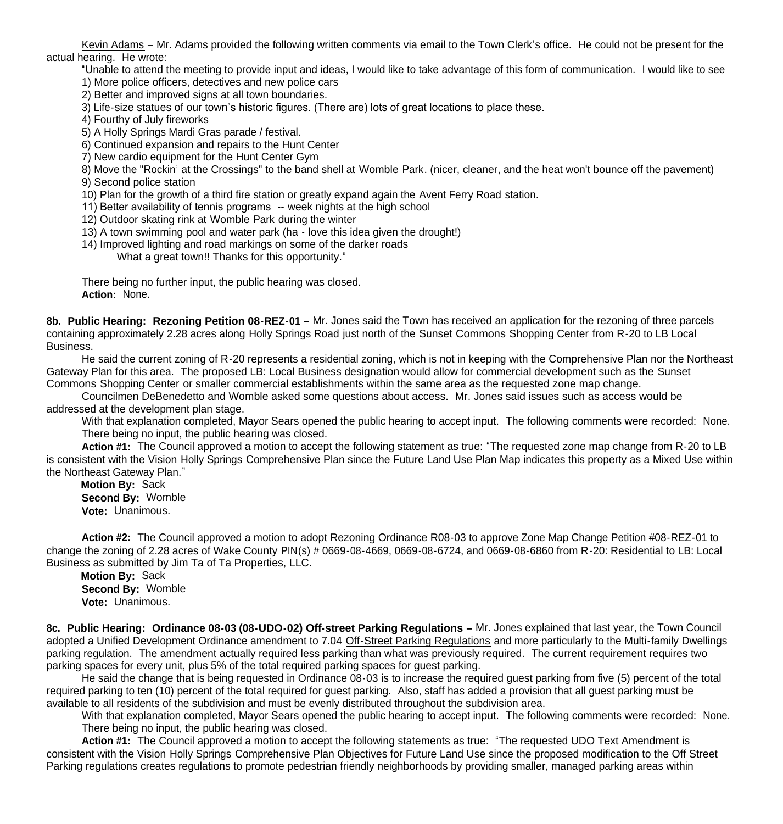Kevin Adams – Mr. Adams provided the following written comments via email to the Town Clerk's office. He could not be present for the actual hearing. He wrote:

 "Unable to attend the meeting to provide input and ideas, I would like to take advantage of this form of communication. I would like to see 1) More police officers, detectives and new police cars

2) Better and improved signs at all town boundaries.

3) Life-size statues of our town's historic figures. (There are) lots of great locations to place these.

4) Fourthy of July fireworks

5) A Holly Springs Mardi Gras parade / festival.

6) Continued expansion and repairs to the Hunt Center

7) New cardio equipment for the Hunt Center Gym

 8) Move the "Rockin' at the Crossings" to the band shell at Womble Park. (nicer, cleaner, and the heat won't bounce off the pavement) 9) Second police station

10) Plan for the growth of a third fire station or greatly expand again the Avent Ferry Road station.

11) Better availability of tennis programs -- week nights at the high school

12) Outdoor skating rink at Womble Park during the winter

13) A town swimming pool and water park (ha - love this idea given the drought!)

14) Improved lighting and road markings on some of the darker roads

What a great town!! Thanks for this opportunity."

There being no further input, the public hearing was closed. **Action:** None.

**8b. Public Hearing: Rezoning Petition 08-REZ-01 –** Mr. Jones said the Town has received an application for the rezoning of three parcels containing approximately 2.28 acres along Holly Springs Road just north of the Sunset Commons Shopping Center from R-20 to LB Local Business.

 He said the current zoning of R-20 represents a residential zoning, which is not in keeping with the Comprehensive Plan nor the Northeast Gateway Plan for this area. The proposed LB: Local Business designation would allow for commercial development such as the Sunset Commons Shopping Center or smaller commercial establishments within the same area as the requested zone map change.

 Councilmen DeBenedetto and Womble asked some questions about access. Mr. Jones said issues such as access would be addressed at the development plan stage.

With that explanation completed, Mayor Sears opened the public hearing to accept input. The following comments were recorded: None. There being no input, the public hearing was closed.

 **Action #1:** The Council approved a motion to accept the following statement as true: "The requested zone map change from R-20 to LB is consistent with the Vision Holly Springs Comprehensive Plan since the Future Land Use Plan Map indicates this property as a Mixed Use within the Northeast Gateway Plan."

 **Motion By:** Sack **Second By:** Womble **Vote:** Unanimous.

 **Action #2:** The Council approved a motion to adopt Rezoning Ordinance R08-03 to approve Zone Map Change Petition #08-REZ-01 to change the zoning of 2.28 acres of Wake County PIN(s) # 0669-08-4669, 0669-08-6724, and 0669-08-6860 from R-20: Residential to LB: Local Business as submitted by Jim Ta of Ta Properties, LLC.

 **Motion By:** Sack **Second By:** Womble **Vote:** Unanimous.

**8c. Public Hearing: Ordinance 08-03 (08-UDO-02) Off-street Parking Regulations –** Mr. Jones explained that last year, the Town Council adopted a Unified Development Ordinance amendment to 7.04 Off-Street Parking Regulations and more particularly to the Multi-family Dwellings parking regulation. The amendment actually required less parking than what was previously required. The current requirement requires two parking spaces for every unit, plus 5% of the total required parking spaces for guest parking.

 He said the change that is being requested in Ordinance 08-03 is to increase the required guest parking from five (5) percent of the total required parking to ten (10) percent of the total required for guest parking. Also, staff has added a provision that all guest parking must be available to all residents of the subdivision and must be evenly distributed throughout the subdivision area.

With that explanation completed, Mayor Sears opened the public hearing to accept input. The following comments were recorded: None. There being no input, the public hearing was closed.

 **Action #1:** The Council approved a motion to accept the following statements as true: "The requested UDO Text Amendment is consistent with the Vision Holly Springs Comprehensive Plan Objectives for Future Land Use since the proposed modification to the Off Street Parking regulations creates regulations to promote pedestrian friendly neighborhoods by providing smaller, managed parking areas within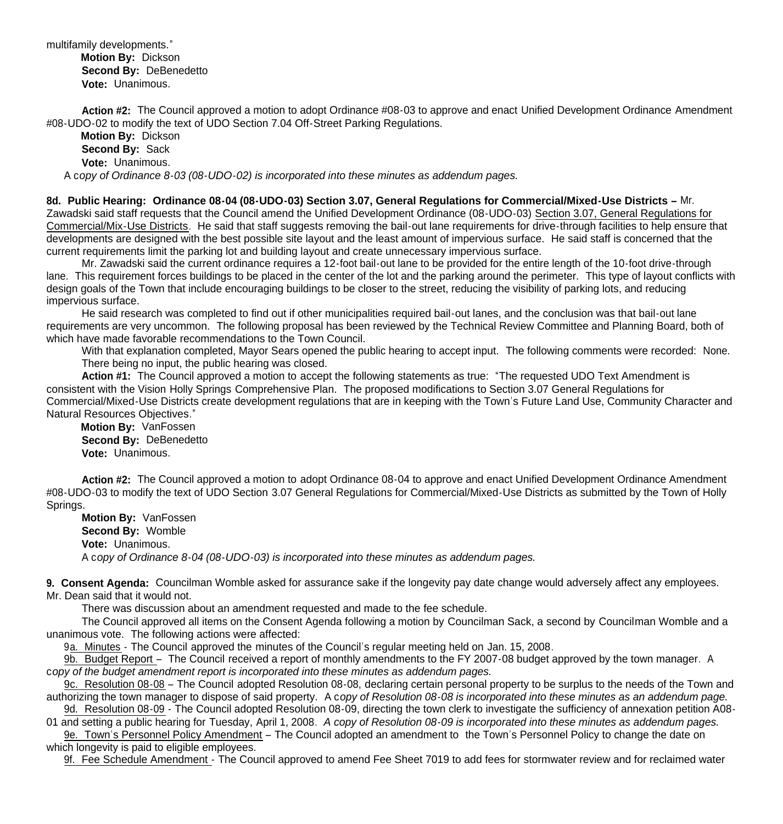multifamily developments."

 **Motion By:** Dickson **Second By:** DeBenedetto **Vote:** Unanimous.

 **Action #2:** The Council approved a motion to adopt Ordinance #08-03 to approve and enact Unified Development Ordinance Amendment #08-UDO-02 to modify the text of UDO Section 7.04 Off-Street Parking Regulations.

 **Motion By:** Dickson **Second By:** Sack **Vote:** Unanimous. A c*opy of Ordinance 8-03 (08-UDO-02) is incorporated into these minutes as addendum pages.*

**8d. Public Hearing: Ordinance 08-04 (08-UDO-03) Section 3.07, General Regulations for Commercial/Mixed-Use Districts –** Mr. Zawadski said staff requests that the Council amend the Unified Development Ordinance (08-UDO-03) Section 3.07, General Regulations for Commercial/Mix-Use Districts. He said that staff suggests removing the bail-out lane requirements for drive-through facilities to help ensure that developments are designed with the best possible site layout and the least amount of impervious surface. He said staff is concerned that the current requirements limit the parking lot and building layout and create unnecessary impervious surface.

Mr. Zawadski said the current ordinance requires a 12-foot bail-out lane to be provided for the entire length of the 10-foot drive-through lane. This requirement forces buildings to be placed in the center of the lot and the parking around the perimeter. This type of layout conflicts with design goals of the Town that include encouraging buildings to be closer to the street, reducing the visibility of parking lots, and reducing impervious surface.

He said research was completed to find out if other municipalities required bail-out lanes, and the conclusion was that bail-out lane requirements are very uncommon. The following proposal has been reviewed by the Technical Review Committee and Planning Board, both of which have made favorable recommendations to the Town Council.

With that explanation completed, Mayor Sears opened the public hearing to accept input. The following comments were recorded: None. There being no input, the public hearing was closed.

 **Action #1:** The Council approved a motion to accept the following statements as true: "The requested UDO Text Amendment is consistent with the Vision Holly Springs Comprehensive Plan. The proposed modifications to Section 3.07 General Regulations for Commercial/Mixed-Use Districts create development regulations that are in keeping with the Town's Future Land Use, Community Character and Natural Resources Objectives."

 **Motion By:** VanFossen **Second By:** DeBenedetto **Vote:** Unanimous.

**Action #2:** The Council approved a motion to adopt Ordinance 08-04 to approve and enact Unified Development Ordinance Amendment #08-UDO-03 to modify the text of UDO Section 3.07 General Regulations for Commercial/Mixed-Use Districts as submitted by the Town of Holly Springs.

 **Motion By:** VanFossen **Second By:** Womble **Vote:** Unanimous. A c*opy of Ordinance 8-04 (08-UDO-03) is incorporated into these minutes as addendum pages.*

**9. Consent Agenda:** Councilman Womble asked for assurance sake if the longevity pay date change would adversely affect any employees. Mr. Dean said that it would not.

There was discussion about an amendment requested and made to the fee schedule.

The Council approved all items on the Consent Agenda following a motion by Councilman Sack, a second by Councilman Womble and a unanimous vote. The following actions were affected:

9a. Minutes - The Council approved the minutes of the Council's regular meeting held on Jan. 15, 2008.

9b. Budget Report – The Council received a report of monthly amendments to the FY 2007-08 budget approved by the town manager. A c*opy of the budget amendment report is incorporated into these minutes as addendum pages.*

 9c. Resolution 08-08 – The Council adopted Resolution 08-08, declaring certain personal property to be surplus to the needs of the Town and authorizing the town manager to dispose of said property. A c*opy of Resolution 08-08 is incorporated into these minutes as an addendum page.*

9d. Resolution 08-09 - The Council adopted Resolution 08-09, directing the town clerk to investigate the sufficiency of annexation petition A08-

01 and setting a public hearing for Tuesday, April 1, 2008. *A copy of Resolution 08-09 is incorporated into these minutes as addendum pages.* 9e. Town's Personnel Policy Amendment – The Council adopted an amendment to the Town's Personnel Policy to change the date on which longevity is paid to eligible employees.

9f. Fee Schedule Amendment - The Council approved to amend Fee Sheet 7019 to add fees for stormwater review and for reclaimed water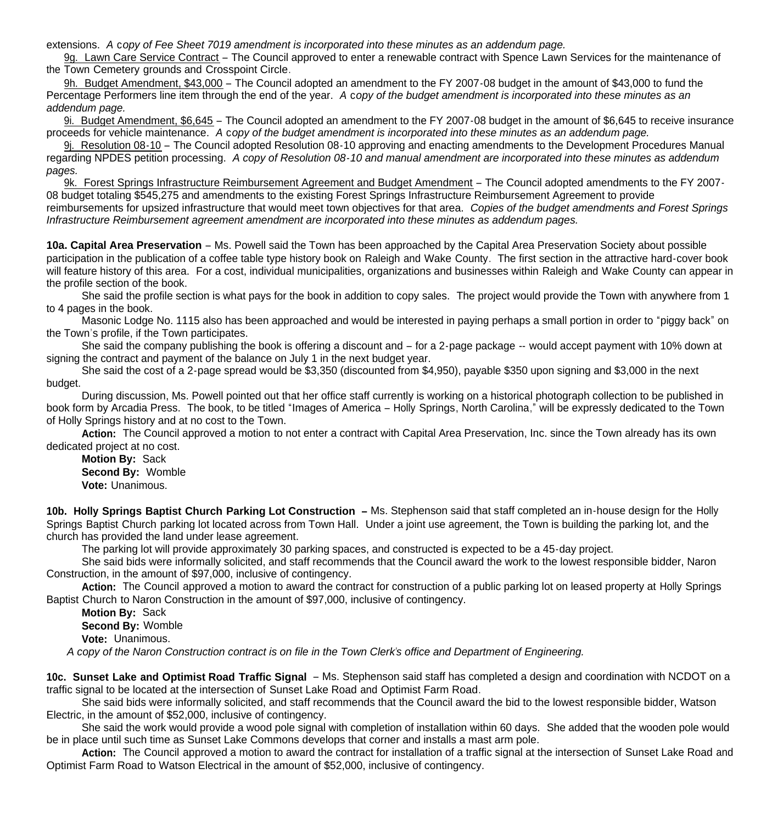extensions. *A* c*opy of Fee Sheet 7019 amendment is incorporated into these minutes as an addendum page.*

 9g. Lawn Care Service Contract – The Council approved to enter a renewable contract with Spence Lawn Services for the maintenance of the Town Cemetery grounds and Crosspoint Circle.

 9h. Budget Amendment, \$43,000 – The Council adopted an amendment to the FY 2007-08 budget in the amount of \$43,000 to fund the Percentage Performers line item through the end of the year. *A* c*opy of the budget amendment is incorporated into these minutes as an addendum page.*

 9i. Budget Amendment, \$6,645 – The Council adopted an amendment to the FY 2007-08 budget in the amount of \$6,645 to receive insurance proceeds for vehicle maintenance. *A* c*opy of the budget amendment is incorporated into these minutes as an addendum page.*

 9j. Resolution 08-10 – The Council adopted Resolution 08-10 approving and enacting amendments to the Development Procedures Manual regarding NPDES petition processing. *A copy of Resolution 08-10 and manual amendment are incorporated into these minutes as addendum pages.*

9k. Forest Springs Infrastructure Reimbursement Agreement and Budget Amendment – The Council adopted amendments to the FY 2007- 08 budget totaling \$545,275 and amendments to the existing Forest Springs Infrastructure Reimbursement Agreement to provide reimbursements for upsized infrastructure that would meet town objectives for that area. *Copies of the budget amendments and Forest Springs Infrastructure Reimbursement agreement amendment are incorporated into these minutes as addendum pages.*

**10a. Capital Area Preservation** – Ms. Powell said the Town has been approached by the Capital Area Preservation Society about possible participation in the publication of a coffee table type history book on Raleigh and Wake County. The first section in the attractive hard-cover book will feature history of this area. For a cost, individual municipalities, organizations and businesses within Raleigh and Wake County can appear in the profile section of the book.

 She said the profile section is what pays for the book in addition to copy sales. The project would provide the Town with anywhere from 1 to 4 pages in the book.

 Masonic Lodge No. 1115 also has been approached and would be interested in paying perhaps a small portion in order to "piggy back" on the Town's profile, if the Town participates.

 She said the company publishing the book is offering a discount and – for a 2-page package -- would accept payment with 10% down at signing the contract and payment of the balance on July 1 in the next budget year.

 She said the cost of a 2-page spread would be \$3,350 (discounted from \$4,950), payable \$350 upon signing and \$3,000 in the next budget.

 During discussion, Ms. Powell pointed out that her office staff currently is working on a historical photograph collection to be published in book form by Arcadia Press. The book, to be titled "Images of America – Holly Springs, North Carolina," will be expressly dedicated to the Town of Holly Springs history and at no cost to the Town.

Action: The Council approved a motion to not enter a contract with Capital Area Preservation, Inc. since the Town already has its own dedicated project at no cost.

 **Motion By:** Sack **Second By:** Womble **Vote:** Unanimous.

**10b. Holly Springs Baptist Church Parking Lot Construction –** Ms. Stephenson said that staff completed an in-house design for the Holly Springs Baptist Church parking lot located across from Town Hall. Under a joint use agreement, the Town is building the parking lot, and the church has provided the land under lease agreement.

The parking lot will provide approximately 30 parking spaces, and constructed is expected to be a 45-day project.

 She said bids were informally solicited, and staff recommends that the Council award the work to the lowest responsible bidder, Naron Construction, in the amount of \$97,000, inclusive of contingency.

 **Action:** The Council approved a motion to award the contract for construction of a public parking lot on leased property at Holly Springs Baptist Church to Naron Construction in the amount of \$97,000, inclusive of contingency.

**Motion By:** Sack

**Second By:** Womble

**Vote:** Unanimous.

 *A copy of the Naron Construction contract is on file in the Town Clerk's office and Department of Engineering.*

**10c. Sunset Lake and Optimist Road Traffic Signal** – Ms. Stephenson said staff has completed a design and coordination with NCDOT on a traffic signal to be located at the intersection of Sunset Lake Road and Optimist Farm Road.

 She said bids were informally solicited, and staff recommends that the Council award the bid to the lowest responsible bidder, Watson Electric, in the amount of \$52,000, inclusive of contingency.

 She said the work would provide a wood pole signal with completion of installation within 60 days. She added that the wooden pole would be in place until such time as Sunset Lake Commons develops that corner and installs a mast arm pole.

**Action:** The Council approved a motion to award the contract for installation of a traffic signal at the intersection of Sunset Lake Road and Optimist Farm Road to Watson Electrical in the amount of \$52,000, inclusive of contingency.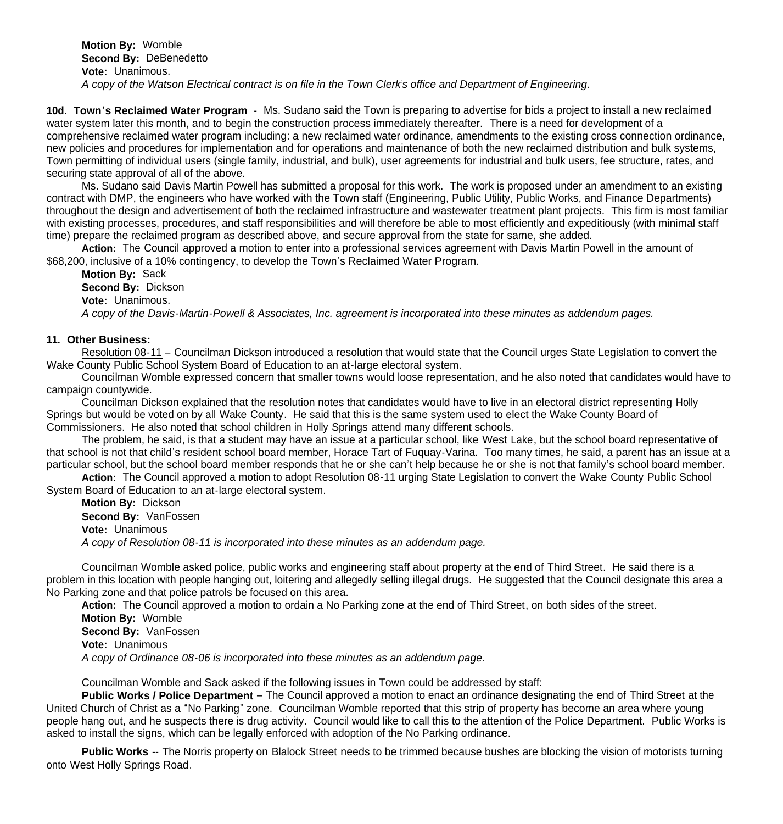**Motion By:** Womble **Second By:** DeBenedetto **Vote:** Unanimous.  *A copy of the Watson Electrical contract is on file in the Town Clerk's office and Department of Engineering.*

**10d. Town's Reclaimed Water Program -** Ms. Sudano said the Town is preparing to advertise for bids a project to install a new reclaimed water system later this month, and to begin the construction process immediately thereafter. There is a need for development of a comprehensive reclaimed water program including: a new reclaimed water ordinance, amendments to the existing cross connection ordinance, new policies and procedures for implementation and for operations and maintenance of both the new reclaimed distribution and bulk systems, Town permitting of individual users (single family, industrial, and bulk), user agreements for industrial and bulk users, fee structure, rates, and securing state approval of all of the above.

 Ms. Sudano said Davis Martin Powell has submitted a proposal for this work. The work is proposed under an amendment to an existing contract with DMP, the engineers who have worked with the Town staff (Engineering, Public Utility, Public Works, and Finance Departments) throughout the design and advertisement of both the reclaimed infrastructure and wastewater treatment plant projects. This firm is most familiar with existing processes, procedures, and staff responsibilities and will therefore be able to most efficiently and expeditiously (with minimal staff time) prepare the reclaimed program as described above, and secure approval from the state for same, she added.

**Action:** The Council approved a motion to enter into a professional services agreement with Davis Martin Powell in the amount of \$68,200, inclusive of a 10% contingency, to develop the Town's Reclaimed Water Program.

**Motion By:** Sack **Second By:** Dickson **Vote:** Unanimous. *A copy of the Davis-Martin-Powell & Associates, Inc. agreement is incorporated into these minutes as addendum pages.*

## **11. Other Business:**

 Resolution 08-11 – Councilman Dickson introduced a resolution that would state that the Council urges State Legislation to convert the Wake County Public School System Board of Education to an at-large electoral system.

 Councilman Womble expressed concern that smaller towns would loose representation, and he also noted that candidates would have to campaign countywide.

 Councilman Dickson explained that the resolution notes that candidates would have to live in an electoral district representing Holly Springs but would be voted on by all Wake County. He said that this is the same system used to elect the Wake County Board of Commissioners. He also noted that school children in Holly Springs attend many different schools.

 The problem, he said, is that a student may have an issue at a particular school, like West Lake, but the school board representative of that school is not that child's resident school board member, Horace Tart of Fuquay-Varina. Too many times, he said, a parent has an issue at a particular school, but the school board member responds that he or she can't help because he or she is not that family's school board member.

 **Action:** The Council approved a motion to adopt Resolution 08-11 urging State Legislation to convert the Wake County Public School System Board of Education to an at-large electoral system.

 **Motion By:** Dickson **Second By:** VanFossen **Vote:** Unanimous *A copy of Resolution 08-11 is incorporated into these minutes as an addendum page.*

 Councilman Womble asked police, public works and engineering staff about property at the end of Third Street. He said there is a problem in this location with people hanging out, loitering and allegedly selling illegal drugs. He suggested that the Council designate this area a No Parking zone and that police patrols be focused on this area.

**Action:** The Council approved a motion to ordain a No Parking zone at the end of Third Street, on both sides of the street.

 **Motion By:** Womble **Second By:** VanFossen **Vote:** Unanimous  *A copy of Ordinance 08-06 is incorporated into these minutes as an addendum page.*

Councilman Womble and Sack asked if the following issues in Town could be addressed by staff:

**Public Works / Police Department** – The Council approved a motion to enact an ordinance designating the end of Third Street at the United Church of Christ as a "No Parking" zone. Councilman Womble reported that this strip of property has become an area where young people hang out, and he suspects there is drug activity. Council would like to call this to the attention of the Police Department. Public Works is asked to install the signs, which can be legally enforced with adoption of the No Parking ordinance.

**Public Works** -- The Norris property on Blalock Street needs to be trimmed because bushes are blocking the vision of motorists turning onto West Holly Springs Road.